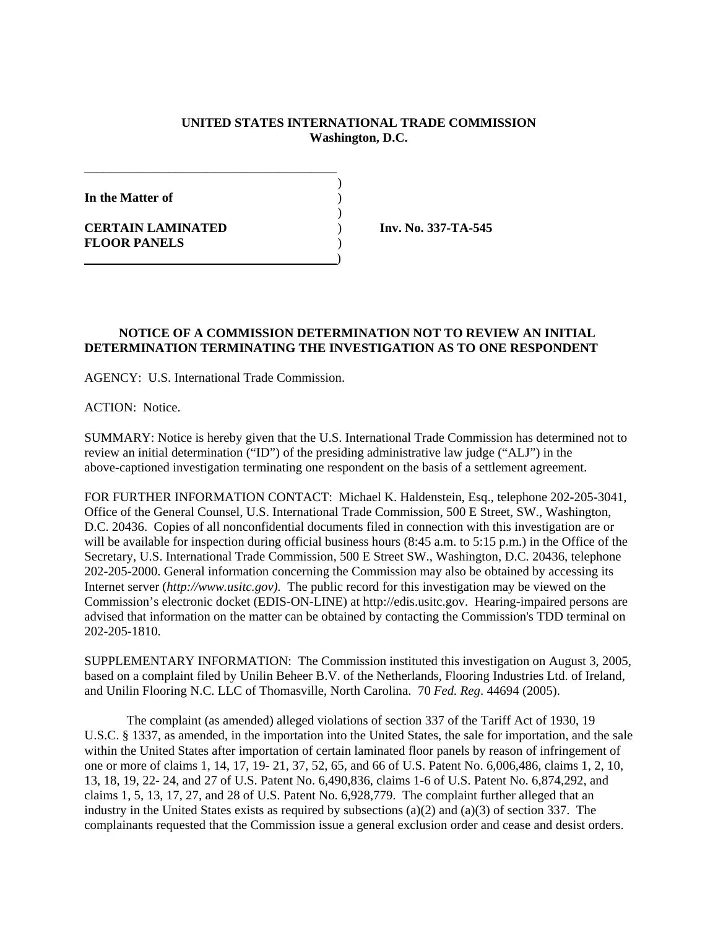## **UNITED STATES INTERNATIONAL TRADE COMMISSION Washington, D.C.**

)

)

**In the Matter of** )

**CERTAIN LAMINATED** ) **Inv. No. 337-TA-545 FLOOR PANELS** )

## **NOTICE OF A COMMISSION DETERMINATION NOT TO REVIEW AN INITIAL DETERMINATION TERMINATING THE INVESTIGATION AS TO ONE RESPONDENT**

AGENCY: U.S. International Trade Commission.

\_\_\_\_\_\_\_\_\_\_\_\_\_\_\_\_\_\_\_\_\_\_\_\_\_\_\_\_\_\_\_\_\_\_\_\_\_\_\_

)

ACTION: Notice.

SUMMARY: Notice is hereby given that the U.S. International Trade Commission has determined not to review an initial determination ("ID") of the presiding administrative law judge ("ALJ") in the above-captioned investigation terminating one respondent on the basis of a settlement agreement.

FOR FURTHER INFORMATION CONTACT: Michael K. Haldenstein, Esq., telephone 202-205-3041, Office of the General Counsel, U.S. International Trade Commission, 500 E Street, SW., Washington, D.C. 20436. Copies of all nonconfidential documents filed in connection with this investigation are or will be available for inspection during official business hours (8:45 a.m. to 5:15 p.m.) in the Office of the Secretary, U.S. International Trade Commission, 500 E Street SW., Washington, D.C. 20436, telephone 202-205-2000. General information concerning the Commission may also be obtained by accessing its Internet server (*http://www.usitc.gov).* The public record for this investigation may be viewed on the Commission's electronic docket (EDIS-ON-LINE) at http://edis.usitc.gov. Hearing-impaired persons are advised that information on the matter can be obtained by contacting the Commission's TDD terminal on 202-205-1810.

SUPPLEMENTARY INFORMATION: The Commission instituted this investigation on August 3, 2005, based on a complaint filed by Unilin Beheer B.V. of the Netherlands, Flooring Industries Ltd. of Ireland, and Unilin Flooring N.C. LLC of Thomasville, North Carolina. 70 *Fed. Reg*. 44694 (2005).

The complaint (as amended) alleged violations of section 337 of the Tariff Act of 1930, 19 U.S.C. § 1337, as amended, in the importation into the United States, the sale for importation, and the sale within the United States after importation of certain laminated floor panels by reason of infringement of one or more of claims 1, 14, 17, 19- 21, 37, 52, 65, and 66 of U.S. Patent No. 6,006,486, claims 1, 2, 10, 13, 18, 19, 22- 24, and 27 of U.S. Patent No. 6,490,836, claims 1-6 of U.S. Patent No. 6,874,292, and claims 1, 5, 13, 17, 27, and 28 of U.S. Patent No. 6,928,779. The complaint further alleged that an industry in the United States exists as required by subsections (a)(2) and (a)(3) of section 337. The complainants requested that the Commission issue a general exclusion order and cease and desist orders.